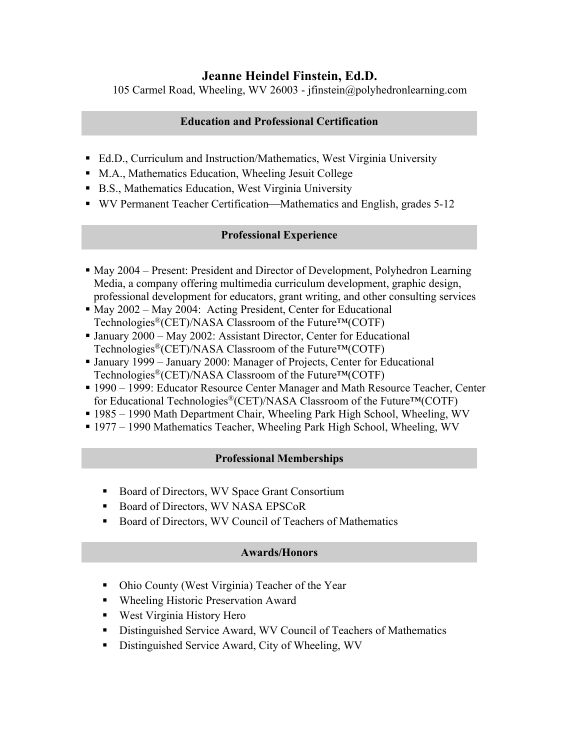# **Jeanne Heindel Finstein, Ed.D.**

105 Carmel Road, Wheeling, WV 26003 - jfinstein@polyhedronlearning.com

# **Education and Professional Certification**

- Ed.D., Curriculum and Instruction/Mathematics, West Virginia University
- M.A., Mathematics Education, Wheeling Jesuit College
- B.S., Mathematics Education, West Virginia University
- WV Permanent Teacher Certification—Mathematics and English, grades 5-12

## **Professional Experience**

- § May 2004 Present: President and Director of Development, Polyhedron Learning Media, a company offering multimedia curriculum development, graphic design, professional development for educators, grant writing, and other consulting services
- May 2002 May 2004: Acting President, Center for Educational Technologies<sup>®</sup>(CET)/NASA Classroom of the Future<sup>™</sup>(COTF)
- January 2000 May 2002: Assistant Director, Center for Educational Technologies<sup>®</sup>(CET)/NASA Classroom of the Future<sup>™</sup>(COTF)
- January 1999 January 2000: Manager of Projects, Center for Educational Technologies<sup>®</sup>(CET)/NASA Classroom of the Future<sup>™</sup>(COTF)
- 1990 1999: Educator Resource Center Manager and Math Resource Teacher, Center for Educational Technologies®(CET)/NASA Classroom of the Future™(COTF)
- § 1985 1990 Math Department Chair, Wheeling Park High School, Wheeling, WV
- § 1977 1990 Mathematics Teacher, Wheeling Park High School, Wheeling, WV

# **Professional Memberships**

- Board of Directors, WV Space Grant Consortium
- Board of Directors, WV NASA EPSCoR
- Board of Directors, WV Council of Teachers of Mathematics

#### **Awards/Honors**

- Ohio County (West Virginia) Teacher of the Year
- Wheeling Historic Preservation Award
- West Virginia History Hero
- Distinguished Service Award, WV Council of Teachers of Mathematics
- Distinguished Service Award, City of Wheeling, WV